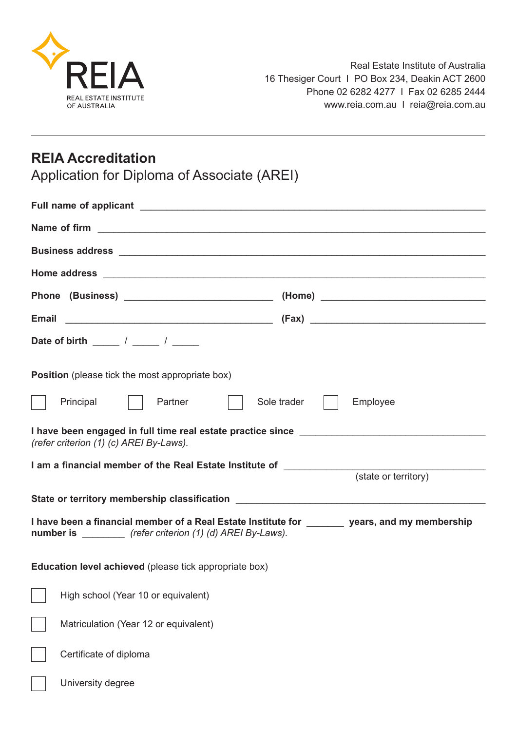

## **REIA Accreditation**

Application for Diploma of Associate (AREI)

| Name of firm <u>example and contract and contract and contract and contract and contract and contract and contract of the set of the set of the set of the set of the set of the set of the set of the set of the set of the set</u> |                                                         |  |  |
|--------------------------------------------------------------------------------------------------------------------------------------------------------------------------------------------------------------------------------------|---------------------------------------------------------|--|--|
|                                                                                                                                                                                                                                      |                                                         |  |  |
|                                                                                                                                                                                                                                      |                                                         |  |  |
|                                                                                                                                                                                                                                      |                                                         |  |  |
|                                                                                                                                                                                                                                      |                                                         |  |  |
|                                                                                                                                                                                                                                      |                                                         |  |  |
| <b>Position</b> (please tick the most appropriate box)                                                                                                                                                                               |                                                         |  |  |
|                                                                                                                                                                                                                                      | Sole trader    <br>Principal    <br>Partner<br>Employee |  |  |
| (refer criterion (1) (c) AREI By-Laws).                                                                                                                                                                                              |                                                         |  |  |
|                                                                                                                                                                                                                                      | (state or territory)                                    |  |  |
| State or territory membership classification ___________________________________                                                                                                                                                     |                                                         |  |  |
| I have been a financial member of a Real Estate Institute for _______ years, and my membership<br>number is __________ (refer criterion (1) (d) AREI By-Laws).                                                                       |                                                         |  |  |
| <b>Education level achieved</b> (please tick appropriate box)                                                                                                                                                                        |                                                         |  |  |
|                                                                                                                                                                                                                                      | High school (Year 10 or equivalent)                     |  |  |
|                                                                                                                                                                                                                                      | Matriculation (Year 12 or equivalent)                   |  |  |
|                                                                                                                                                                                                                                      | Certificate of diploma                                  |  |  |
|                                                                                                                                                                                                                                      | University degree                                       |  |  |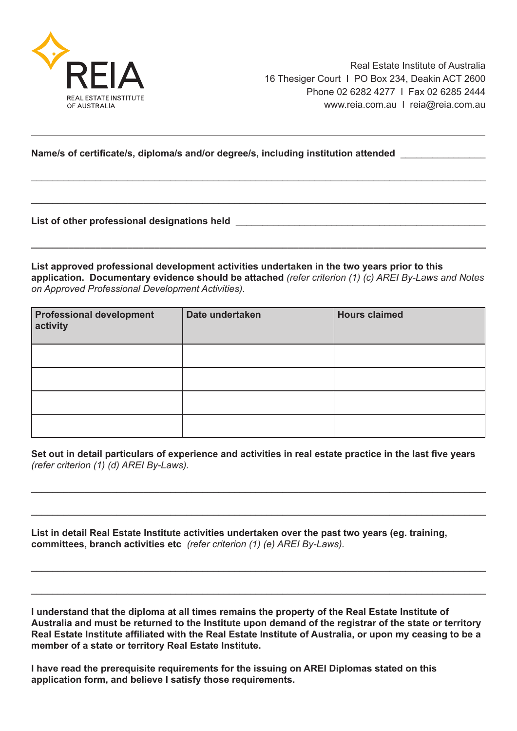

## **Name/s of certificate/s, diploma/s and/or degree/s, including institution attended** \_\_\_\_\_\_\_\_\_\_\_\_\_\_\_\_

**List of other professional designations held** \_\_\_\_\_\_\_\_\_\_\_\_\_\_\_\_\_\_\_\_\_\_\_\_\_\_\_\_\_\_\_\_\_\_\_\_\_\_\_\_\_\_\_\_\_\_\_

**List approved professional development activities undertaken in the two years prior to this application. Documentary evidence should be attached** *(refer criterion (1) (c) AREI By-Laws and Notes on Approved Professional Development Activities).*

**\_\_\_\_\_\_\_\_\_\_\_\_\_\_\_\_\_\_\_\_\_\_\_\_\_\_\_\_\_\_\_\_\_\_\_\_\_\_\_\_\_\_\_\_\_\_\_\_\_\_\_\_\_\_\_\_\_\_\_\_\_\_\_\_\_\_\_\_\_\_\_\_\_\_\_\_\_\_\_\_\_\_\_\_\_**

\_\_\_\_\_\_\_\_\_\_\_\_\_\_\_\_\_\_\_\_\_\_\_\_\_\_\_\_\_\_\_\_\_\_\_\_\_\_\_\_\_\_\_\_\_\_\_\_\_\_\_\_\_\_\_\_\_\_\_\_\_\_\_\_\_\_\_\_\_\_\_\_\_\_\_\_\_\_\_\_\_\_\_\_\_

\_\_\_\_\_\_\_\_\_\_\_\_\_\_\_\_\_\_\_\_\_\_\_\_\_\_\_\_\_\_\_\_\_\_\_\_\_\_\_\_\_\_\_\_\_\_\_\_\_\_\_\_\_\_\_\_\_\_\_\_\_\_\_\_\_\_\_\_\_\_\_\_\_\_\_\_\_\_\_\_\_\_\_\_\_

| <b>Professional development</b><br>activity | Date undertaken | <b>Hours claimed</b> |
|---------------------------------------------|-----------------|----------------------|
|                                             |                 |                      |
|                                             |                 |                      |
|                                             |                 |                      |
|                                             |                 |                      |

**Set out in detail particulars of experience and activities in real estate practice in the last five years** *(refer criterion (1) (d) AREI By-Laws).*

\_\_\_\_\_\_\_\_\_\_\_\_\_\_\_\_\_\_\_\_\_\_\_\_\_\_\_\_\_\_\_\_\_\_\_\_\_\_\_\_\_\_\_\_\_\_\_\_\_\_\_\_\_\_\_\_\_\_\_\_\_\_\_\_\_\_\_\_\_\_\_\_\_\_\_\_\_\_\_\_\_\_\_\_\_

\_\_\_\_\_\_\_\_\_\_\_\_\_\_\_\_\_\_\_\_\_\_\_\_\_\_\_\_\_\_\_\_\_\_\_\_\_\_\_\_\_\_\_\_\_\_\_\_\_\_\_\_\_\_\_\_\_\_\_\_\_\_\_\_\_\_\_\_\_\_\_\_\_\_\_\_\_\_\_\_\_\_\_\_\_

 $\_$  , and the set of the set of the set of the set of the set of the set of the set of the set of the set of the set of the set of the set of the set of the set of the set of the set of the set of the set of the set of th

\_\_\_\_\_\_\_\_\_\_\_\_\_\_\_\_\_\_\_\_\_\_\_\_\_\_\_\_\_\_\_\_\_\_\_\_\_\_\_\_\_\_\_\_\_\_\_\_\_\_\_\_\_\_\_\_\_\_\_\_\_\_\_\_\_\_\_\_\_\_\_\_\_\_\_\_\_\_\_\_\_\_\_\_\_

**List in detail Real Estate Institute activities undertaken over the past two years (eg. training, committees, branch activities etc** *(refer criterion (1) (e) AREI By-Laws).*

**I understand that the diploma at all times remains the property of the Real Estate Institute of Australia and must be returned to the Institute upon demand of the registrar of the state or territory Real Estate Institute affiliated with the Real Estate Institute of Australia, or upon my ceasing to be a member of a state or territory Real Estate Institute.**

**I have read the prerequisite requirements for the issuing on AREI Diplomas stated on this application form, and believe I satisfy those requirements.**